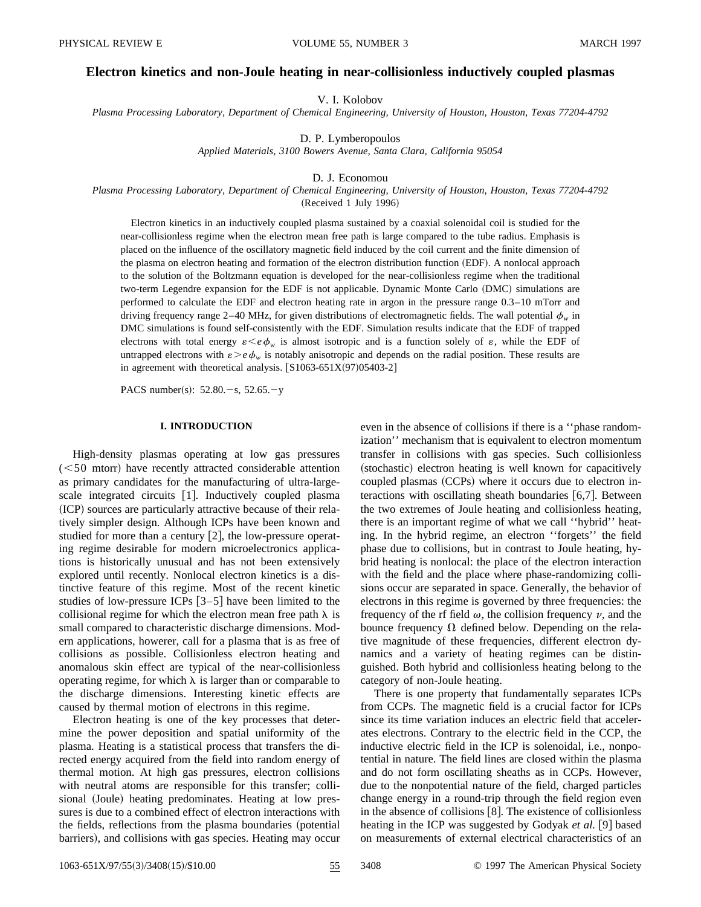## **Electron kinetics and non-Joule heating in near-collisionless inductively coupled plasmas**

V. I. Kolobov

*Plasma Processing Laboratory, Department of Chemical Engineering, University of Houston, Houston, Texas 77204-4792*

D. P. Lymberopoulos

*Applied Materials, 3100 Bowers Avenue, Santa Clara, California 95054*

D. J. Economou

*Plasma Processing Laboratory, Department of Chemical Engineering, University of Houston, Houston, Texas 77204-4792* (Received 1 July 1996)

Electron kinetics in an inductively coupled plasma sustained by a coaxial solenoidal coil is studied for the near-collisionless regime when the electron mean free path is large compared to the tube radius. Emphasis is placed on the influence of the oscillatory magnetic field induced by the coil current and the finite dimension of the plasma on electron heating and formation of the electron distribution function (EDF). A nonlocal approach to the solution of the Boltzmann equation is developed for the near-collisionless regime when the traditional two-term Legendre expansion for the EDF is not applicable. Dynamic Monte Carlo (DMC) simulations are performed to calculate the EDF and electron heating rate in argon in the pressure range 0.3–10 mTorr and driving frequency range 2–40 MHz, for given distributions of electromagnetic fields. The wall potential  $\phi_w$  in DMC simulations is found self-consistently with the EDF. Simulation results indicate that the EDF of trapped electrons with total energy  $\varepsilon \leq e \phi_w$  is almost isotropic and is a function solely of  $\varepsilon$ , while the EDF of untrapped electrons with  $\varepsilon > e \phi_w$  is notably anisotropic and depends on the radial position. These results are in agreement with theoretical analysis.  $[S1063-651X(97)05403-2]$ 

PACS number(s):  $52.80.-s$ ,  $52.65.-y$ 

#### **I. INTRODUCTION**

High-density plasmas operating at low gas pressures  $(<50$  mtorr) have recently attracted considerable attention as primary candidates for the manufacturing of ultra-largescale integrated circuits [1]. Inductively coupled plasma (ICP) sources are particularly attractive because of their relatively simpler design. Although ICPs have been known and studied for more than a century  $[2]$ , the low-pressure operating regime desirable for modern microelectronics applications is historically unusual and has not been extensively explored until recently. Nonlocal electron kinetics is a distinctive feature of this regime. Most of the recent kinetic studies of low-pressure ICPs  $[3-5]$  have been limited to the collisional regime for which the electron mean free path  $\lambda$  is small compared to characteristic discharge dimensions. Modern applications, howerer, call for a plasma that is as free of collisions as possible. Collisionless electron heating and anomalous skin effect are typical of the near-collisionless operating regime, for which  $\lambda$  is larger than or comparable to the discharge dimensions. Interesting kinetic effects are caused by thermal motion of electrons in this regime.

Electron heating is one of the key processes that determine the power deposition and spatial uniformity of the plasma. Heating is a statistical process that transfers the directed energy acquired from the field into random energy of thermal motion. At high gas pressures, electron collisions with neutral atoms are responsible for this transfer; collisional (Joule) heating predominates. Heating at low pressures is due to a combined effect of electron interactions with the fields, reflections from the plasma boundaries (potential barriers), and collisions with gas species. Heating may occur even in the absence of collisions if there is a ''phase randomization'' mechanism that is equivalent to electron momentum transfer in collisions with gas species. Such collisionless (stochastic) electron heating is well known for capacitively coupled plasmas (CCPs) where it occurs due to electron interactions with oscillating sheath boundaries  $[6,7]$ . Between the two extremes of Joule heating and collisionless heating, there is an important regime of what we call ''hybrid'' heating. In the hybrid regime, an electron ''forgets'' the field phase due to collisions, but in contrast to Joule heating, hybrid heating is nonlocal: the place of the electron interaction with the field and the place where phase-randomizing collisions occur are separated in space. Generally, the behavior of electrons in this regime is governed by three frequencies: the frequency of the rf field  $\omega$ , the collision frequency  $\nu$ , and the bounce frequency  $\Omega$  defined below. Depending on the relative magnitude of these frequencies, different electron dynamics and a variety of heating regimes can be distinguished. Both hybrid and collisionless heating belong to the category of non-Joule heating.

There is one property that fundamentally separates ICPs from CCPs. The magnetic field is a crucial factor for ICPs since its time variation induces an electric field that accelerates electrons. Contrary to the electric field in the CCP, the inductive electric field in the ICP is solenoidal, i.e., nonpotential in nature. The field lines are closed within the plasma and do not form oscillating sheaths as in CCPs. However, due to the nonpotential nature of the field, charged particles change energy in a round-trip through the field region even in the absence of collisions  $[8]$ . The existence of collisionless heating in the ICP was suggested by Godyak et al. [9] based on measurements of external electrical characteristics of an

1063-651X/97/55(3)/3408(15)/\$10.00 55 3408 © 1997 The American Physical Society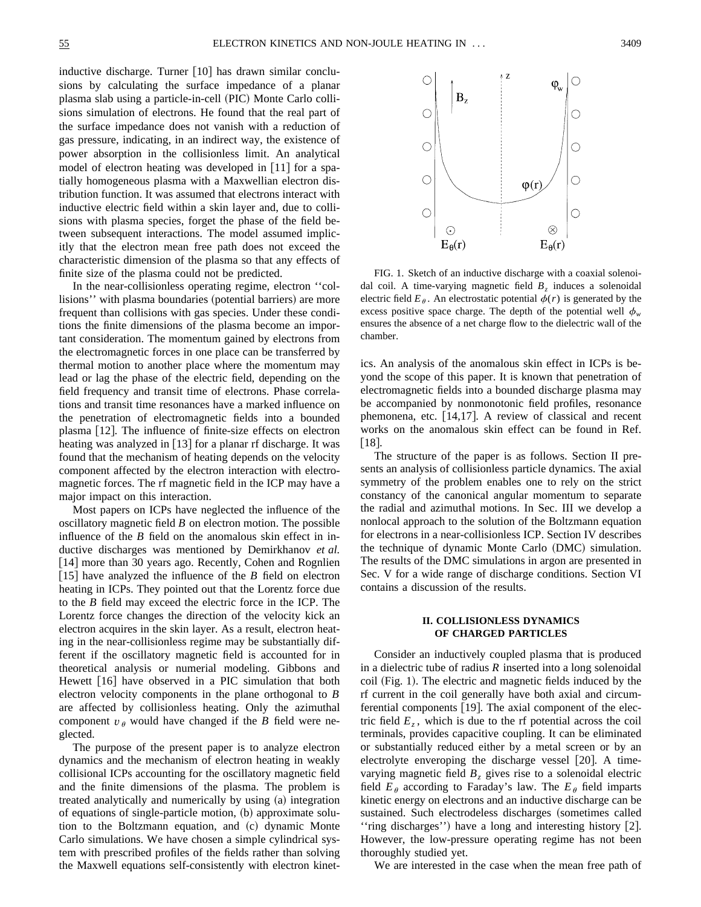inductive discharge. Turner  $|10|$  has drawn similar conclusions by calculating the surface impedance of a planar plasma slab using a particle-in-cell (PIC) Monte Carlo collisions simulation of electrons. He found that the real part of the surface impedance does not vanish with a reduction of gas pressure, indicating, in an indirect way, the existence of power absorption in the collisionless limit. An analytical model of electron heating was developed in  $[11]$  for a spatially homogeneous plasma with a Maxwellian electron distribution function. It was assumed that electrons interact with inductive electric field within a skin layer and, due to collisions with plasma species, forget the phase of the field between subsequent interactions. The model assumed implicitly that the electron mean free path does not exceed the characteristic dimension of the plasma so that any effects of finite size of the plasma could not be predicted.

In the near-collisionless operating regime, electron ''collisions'' with plasma boundaries (potential barriers) are more frequent than collisions with gas species. Under these conditions the finite dimensions of the plasma become an important consideration. The momentum gained by electrons from the electromagnetic forces in one place can be transferred by thermal motion to another place where the momentum may lead or lag the phase of the electric field, depending on the field frequency and transit time of electrons. Phase correlations and transit time resonances have a marked influence on the penetration of electromagnetic fields into a bounded plasma [12]. The influence of finite-size effects on electron heating was analyzed in  $[13]$  for a planar rf discharge. It was found that the mechanism of heating depends on the velocity component affected by the electron interaction with electromagnetic forces. The rf magnetic field in the ICP may have a major impact on this interaction.

Most papers on ICPs have neglected the influence of the oscillatory magnetic field *B* on electron motion. The possible influence of the *B* field on the anomalous skin effect in inductive discharges was mentioned by Demirkhanov *et al.* [14] more than 30 years ago. Recently, Cohen and Rognlien [15] have analyzed the influence of the  $B$  field on electron heating in ICPs. They pointed out that the Lorentz force due to the *B* field may exceed the electric force in the ICP. The Lorentz force changes the direction of the velocity kick an electron acquires in the skin layer. As a result, electron heating in the near-collisionless regime may be substantially different if the oscillatory magnetic field is accounted for in theoretical analysis or numerial modeling. Gibbons and Hewett  $[16]$  have observed in a PIC simulation that both electron velocity components in the plane orthogonal to *B* are affected by collisionless heating. Only the azimuthal component  $v_{\theta}$  would have changed if the *B* field were neglected.

The purpose of the present paper is to analyze electron dynamics and the mechanism of electron heating in weakly collisional ICPs accounting for the oscillatory magnetic field and the finite dimensions of the plasma. The problem is treated analytically and numerically by using (a) integration of equations of single-particle motion,  $(b)$  approximate solution to the Boltzmann equation, and (c) dynamic Monte Carlo simulations. We have chosen a simple cylindrical system with prescribed profiles of the fields rather than solving the Maxwell equations self-consistently with electron kinet-



FIG. 1. Sketch of an inductive discharge with a coaxial solenoidal coil. A time-varying magnetic field  $B<sub>z</sub>$  induces a solenoidal electric field  $E_\theta$ . An electrostatic potential  $\phi(r)$  is generated by the excess positive space charge. The depth of the potential well  $\phi_w$ ensures the absence of a net charge flow to the dielectric wall of the chamber.

ics. An analysis of the anomalous skin effect in ICPs is beyond the scope of this paper. It is known that penetration of electromagnetic fields into a bounded discharge plasma may be accompanied by nonmonotonic field profiles, resonance phemonena, etc.  $[14,17]$ . A review of classical and recent works on the anomalous skin effect can be found in Ref.  $|18|$ .

The structure of the paper is as follows. Section II presents an analysis of collisionless particle dynamics. The axial symmetry of the problem enables one to rely on the strict constancy of the canonical angular momentum to separate the radial and azimuthal motions. In Sec. III we develop a nonlocal approach to the solution of the Boltzmann equation for electrons in a near-collisionless ICP. Section IV describes the technique of dynamic Monte Carlo (DMC) simulation. The results of the DMC simulations in argon are presented in Sec. V for a wide range of discharge conditions. Section VI contains a discussion of the results.

# **II. COLLISIONLESS DYNAMICS OF CHARGED PARTICLES**

Consider an inductively coupled plasma that is produced in a dielectric tube of radius *R* inserted into a long solenoidal coil (Fig. 1). The electric and magnetic fields induced by the rf current in the coil generally have both axial and circumferential components  $[19]$ . The axial component of the electric field  $E<sub>z</sub>$ , which is due to the rf potential across the coil terminals, provides capacitive coupling. It can be eliminated or substantially reduced either by a metal screen or by an electrolyte enveroping the discharge vessel  $[20]$ . A timevarying magnetic field  $B<sub>z</sub>$  gives rise to a solenoidal electric field  $E_\theta$  according to Faraday's law. The  $E_\theta$  field imparts kinetic energy on electrons and an inductive discharge can be sustained. Such electrodeless discharges (sometimes called "ring discharges") have a long and interesting history  $[2]$ . However, the low-pressure operating regime has not been thoroughly studied yet.

We are interested in the case when the mean free path of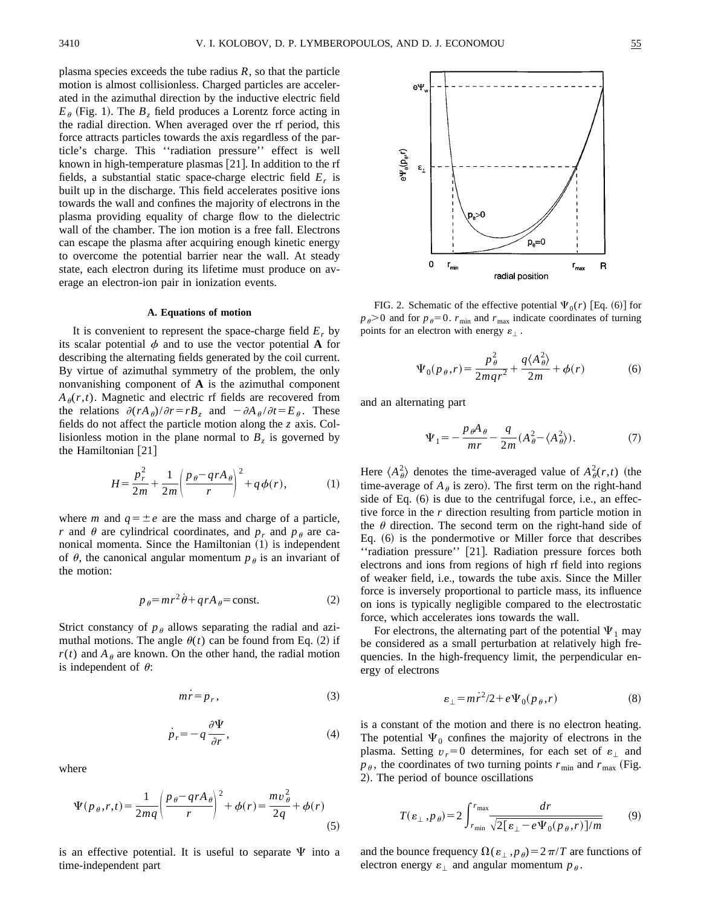plasma species exceeds the tube radius *R*, so that the particle motion is almost collisionless. Charged particles are accelerated in the azimuthal direction by the inductive electric field  $E_{\theta}$  (Fig. 1). The  $B_{\tau}$  field produces a Lorentz force acting in the radial direction. When averaged over the rf period, this force attracts particles towards the axis regardless of the particle's charge. This ''radiation pressure'' effect is well known in high-temperature plasmas  $[21]$ . In addition to the rf fields, a substantial static space-charge electric field *Er* is built up in the discharge. This field accelerates positive ions towards the wall and confines the majority of electrons in the plasma providing equality of charge flow to the dielectric wall of the chamber. The ion motion is a free fall. Electrons can escape the plasma after acquiring enough kinetic energy to overcome the potential barrier near the wall. At steady state, each electron during its lifetime must produce on average an electron-ion pair in ionization events.

#### **A. Equations of motion**

It is convenient to represent the space-charge field *Er* by its scalar potential  $\phi$  and to use the vector potential **A** for describing the alternating fields generated by the coil current. By virtue of azimuthal symmetry of the problem, the only nonvanishing component of **A** is the azimuthal component  $A_{\theta}(r,t)$ . Magnetic and electric rf fields are recovered from the relations  $\partial (rA_\theta)/\partial r = rB_z$  and  $-\partial A_\theta/\partial t = E_\theta$ . These fields do not affect the particle motion along the *z* axis. Collisionless motion in the plane normal to  $B<sub>z</sub>$  is governed by the Hamiltonian  $[21]$ 

$$
H = \frac{p_r^2}{2m} + \frac{1}{2m} \left( \frac{p_\theta - qrA_\theta}{r} \right)^2 + q\phi(r),\tag{1}
$$

where *m* and  $q = \pm e$  are the mass and charge of a particle, *r* and  $\theta$  are cylindrical coordinates, and  $p_r$  and  $p_\theta$  are canonical momenta. Since the Hamiltonian  $(1)$  is independent of  $\theta$ , the canonical angular momentum  $p_{\theta}$  is an invariant of the motion:

$$
p_{\theta} = mr^2 \dot{\theta} + qrA_{\theta} = \text{const.}
$$
 (2)

Strict constancy of  $p_{\theta}$  allows separating the radial and azimuthal motions. The angle  $\theta(t)$  can be found from Eq. (2) if  $r(t)$  and  $A_\theta$  are known. On the other hand, the radial motion is independent of  $\theta$ :

$$
m\dot{r} = p_r, \tag{3}
$$

$$
\dot{p}_r = -q \frac{\partial \Psi}{\partial r},\tag{4}
$$

where

$$
\Psi(p_{\theta},r,t) = \frac{1}{2mq} \left( \frac{p_{\theta} - qrA_{\theta}}{r} \right)^2 + \phi(r) = \frac{mv_{\theta}^2}{2q} + \phi(r)
$$
\n(5)

is an effective potential. It is useful to separate  $\Psi$  into a time-independent part



FIG. 2. Schematic of the effective potential  $\Psi_0(r)$  [Eq. (6)] for  $p_{\theta}$ >0 and for  $p_{\theta}$ =0.  $r_{\min}$  and  $r_{\max}$  indicate coordinates of turning points for an electron with energy  $\varepsilon_{\perp}$ .

$$
\Psi_0(p_\theta, r) = \frac{p_\theta^2}{2mqr^2} + \frac{q\langle A_\theta^2 \rangle}{2m} + \phi(r) \tag{6}
$$

and an alternating part

$$
\Psi_1 = -\frac{p \, \theta^A \theta}{mr} - \frac{q}{2m} (A_\theta^2 - \langle A_\theta^2 \rangle). \tag{7}
$$

Here  $\langle A_\theta^2 \rangle$  denotes the time-averaged value of  $A_\theta^2(r,t)$  (the time-average of  $A_{\theta}$  is zero). The first term on the right-hand side of Eq.  $(6)$  is due to the centrifugal force, i.e., an effective force in the *r* direction resulting from particle motion in the  $\theta$  direction. The second term on the right-hand side of Eq.  $(6)$  is the pondermotive or Miller force that describes "radiation pressure" [21]. Radiation pressure forces both electrons and ions from regions of high rf field into regions of weaker field, i.e., towards the tube axis. Since the Miller force is inversely proportional to particle mass, its influence on ions is typically negligible compared to the electrostatic force, which accelerates ions towards the wall.

For electrons, the alternating part of the potential  $\Psi_1$  may be considered as a small perturbation at relatively high frequencies. In the high-frequency limit, the perpendicular energy of electrons

$$
\varepsilon_{\perp} = m\dot{r}^2/2 + e\Psi_0(p_\theta, r) \tag{8}
$$

is a constant of the motion and there is no electron heating. The potential  $\Psi_0$  confines the majority of electrons in the plasma. Setting  $v_r=0$  determines, for each set of  $\varepsilon_+$  and  $p_{\theta}$ , the coordinates of two turning points  $r_{\min}$  and  $r_{\max}$  (Fig. 2). The period of bounce oscillations

$$
T(\varepsilon_{\perp}, p_{\theta}) = 2 \int_{r_{\min}}^{r_{\max}} \frac{dr}{\sqrt{2[\varepsilon_{\perp} - e\Psi_0(p_{\theta}, r)]/m}} \qquad (9)
$$

and the bounce frequency  $\Omega(\varepsilon_{\perp}, p_{\theta}) = 2\pi/T$  are functions of electron energy  $\varepsilon_{\perp}$  and angular momentum  $p_{\theta}$ .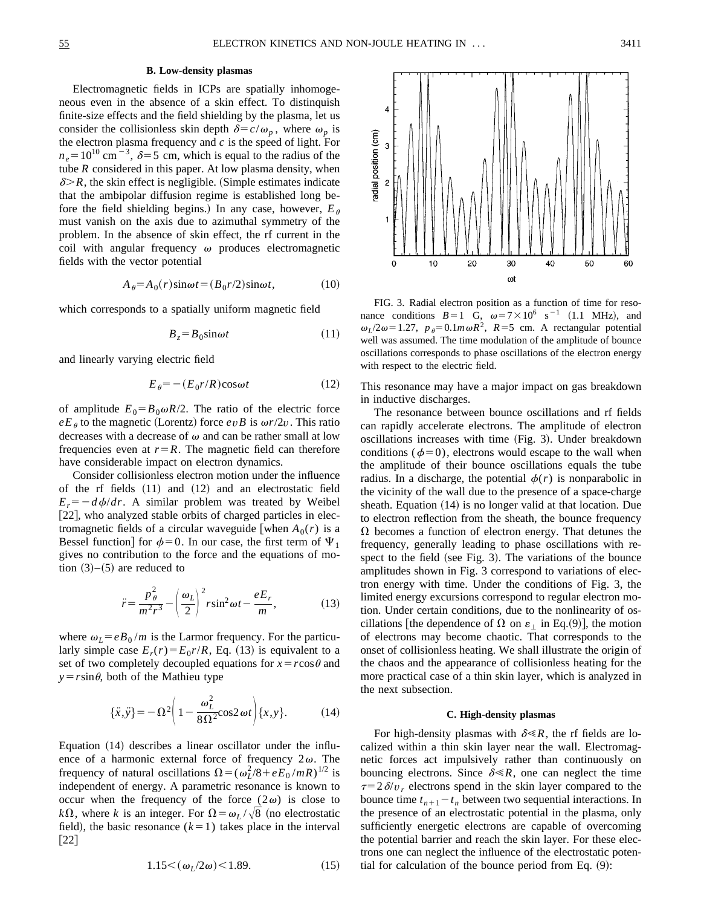### **B. Low-density plasmas**

Electromagnetic fields in ICPs are spatially inhomogeneous even in the absence of a skin effect. To distinquish finite-size effects and the field shielding by the plasma, let us consider the collisionless skin depth  $\delta = c/\omega_p$ , where  $\omega_p$  is the electron plasma frequency and *c* is the speed of light. For  $n_e = 10^{10}$  cm<sup>-3</sup>,  $\delta = 5$  cm, which is equal to the radius of the tube *R* considered in this paper. At low plasma density, when  $\delta$  *R*, the skin effect is negligible. (Simple estimates indicate that the ambipolar diffusion regime is established long before the field shielding begins.) In any case, however,  $E_{\theta}$ must vanish on the axis due to azimuthal symmetry of the problem. In the absence of skin effect, the rf current in the coil with angular frequency  $\omega$  produces electromagnetic fields with the vector potential

$$
A_{\theta} = A_0(r)\sin\omega t = (B_0r/2)\sin\omega t, \qquad (10)
$$

which corresponds to a spatially uniform magnetic field

$$
B_z = B_0 \sin \omega t \tag{11}
$$

and linearly varying electric field

$$
E_{\theta} = -(E_0 r/R)\cos \omega t \tag{12}
$$

of amplitude  $E_0 = B_0 \omega R/2$ . The ratio of the electric force  $eE_\theta$  to the magnetic (Lorentz) force  $e \nu B$  is  $\omega r/2v$ . This ratio decreases with a decrease of  $\omega$  and can be rather small at low frequencies even at  $r=R$ . The magnetic field can therefore have considerable impact on electron dynamics.

Consider collisionless electron motion under the influence of the rf fields  $(11)$  and  $(12)$  and an electrostatic field  $E_r = -d\phi/dr$ . A similar problem was treated by Weibel [22], who analyzed stable orbits of charged particles in electromagnetic fields of a circular waveguide [when  $A_0(r)$  is a Bessel function] for  $\phi=0$ . In our case, the first term of  $\Psi_1$ gives no contribution to the force and the equations of motion  $(3)$ – $(5)$  are reduced to

$$
\ddot{r} = \frac{p_{\theta}^2}{m^2 r^3} - \left(\frac{\omega_L}{2}\right)^2 r \sin^2 \omega t - \frac{eE_r}{m},\tag{13}
$$

where  $\omega_L = e B_0 / m$  is the Larmor frequency. For the particularly simple case  $E_r(r) = E_0 r/R$ , Eq. (13) is equivalent to a set of two completely decoupled equations for  $x = r \cos \theta$  and  $y = r \sin \theta$ , both of the Mathieu type

$$
\{\ddot{x}, \ddot{y}\} = -\Omega^2 \left(1 - \frac{\omega_L^2}{8\Omega^2} \cos 2\omega t\right) \{x, y\}.
$$
 (14)

Equation  $(14)$  describes a linear oscillator under the influence of a harmonic external force of frequency  $2\omega$ . The frequency of natural oscillations  $\Omega = (\omega_L^2 / 8 + eE_0 / mR)^{1/2}$  is independent of energy. A parametric resonance is known to occur when the frequency of the force  $(2\omega)$  is close to  $k\Omega$ , where *k* is an integer. For  $\Omega = \omega_L / \sqrt{8}$  (no electrostatic field), the basic resonance  $(k=1)$  takes place in the interval  $\lceil 22 \rceil$ 





FIG. 3. Radial electron position as a function of time for resonance conditions  $B=1$  G,  $\omega = 7 \times 10^6$  s<sup>-1</sup> (1.1 MHz), and  $\omega_L/2\omega$ =1.27,  $p_\theta$ =0.1*m* $\omega$ *R*<sup>2</sup>, *R*=5 cm. A rectangular potential well was assumed. The time modulation of the amplitude of bounce oscillations corresponds to phase oscillations of the electron energy with respect to the electric field.

This resonance may have a major impact on gas breakdown in inductive discharges.

The resonance between bounce oscillations and rf fields can rapidly accelerate electrons. The amplitude of electron oscillations increases with time (Fig. 3). Under breakdown conditions ( $\phi=0$ ), electrons would escape to the wall when the amplitude of their bounce oscillations equals the tube radius. In a discharge, the potential  $\phi(r)$  is nonparabolic in the vicinity of the wall due to the presence of a space-charge sheath. Equation  $(14)$  is no longer valid at that location. Due to electron reflection from the sheath, the bounce frequency  $\Omega$  becomes a function of electron energy. That detunes the frequency, generally leading to phase oscillations with respect to the field (see Fig. 3). The variations of the bounce amplitudes shown in Fig. 3 correspond to variations of electron energy with time. Under the conditions of Fig. 3, the limited energy excursions correspond to regular electron motion. Under certain conditions, due to the nonlinearity of oscillations [the dependence of  $\Omega$  on  $\varepsilon_{\perp}$  in Eq.(9)], the motion of electrons may become chaotic. That corresponds to the onset of collisionless heating. We shall illustrate the origin of the chaos and the appearance of collisionless heating for the more practical case of a thin skin layer, which is analyzed in the next subsection.

### **C. High-density plasmas**

For high-density plasmas with  $\delta \ll R$ , the rf fields are localized within a thin skin layer near the wall. Electromagnetic forces act impulsively rather than continuously on bouncing electrons. Since  $\delta \ll R$ , one can neglect the time  $\tau=2\delta/v_r$  electrons spend in the skin layer compared to the bounce time  $t_{n+1}-t_n$  between two sequential interactions. In the presence of an electrostatic potential in the plasma, only sufficiently energetic electrons are capable of overcoming the potential barrier and reach the skin layer. For these electrons one can neglect the influence of the electrostatic potential for calculation of the bounce period from Eq.  $(9)$ :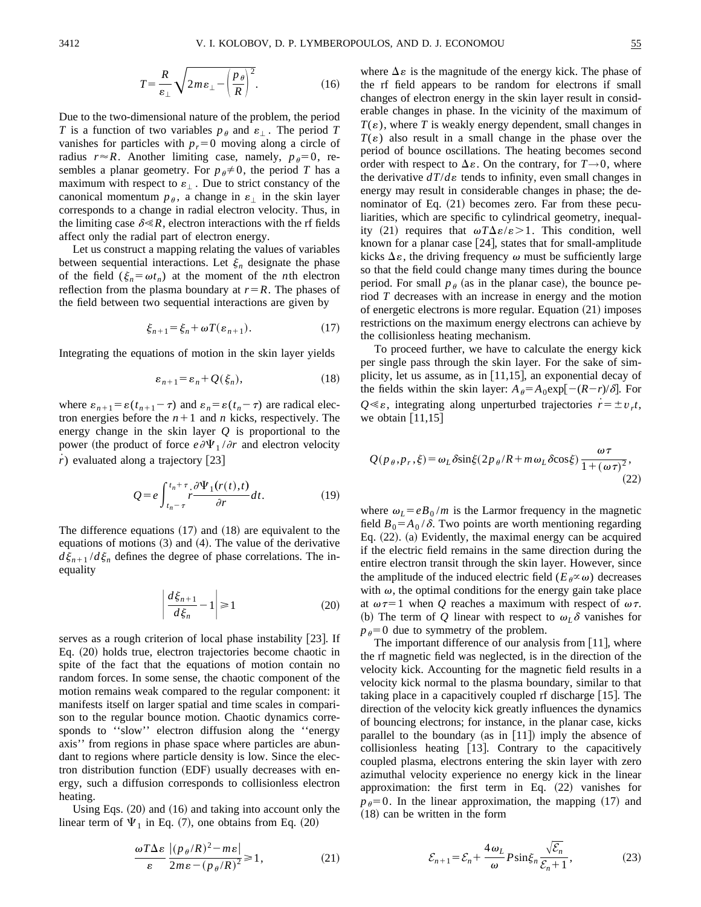$$
T = \frac{R}{\varepsilon_{\perp}} \sqrt{2m\varepsilon_{\perp} - \left(\frac{p_{\theta}}{R}\right)^2}.
$$
 (16)

Due to the two-dimensional nature of the problem, the period *T* is a function of two variables  $p_{\theta}$  and  $\varepsilon_{\perp}$ . The period *T* vanishes for particles with  $p_r=0$  moving along a circle of radius  $r \approx R$ . Another limiting case, namely,  $p_{\theta} = 0$ , resembles a planar geometry. For  $p_{\theta} \neq 0$ , the period *T* has a maximum with respect to  $\varepsilon_{\perp}$ . Due to strict constancy of the canonical momentum  $p_{\theta}$ , a change in  $\varepsilon_{\perp}$  in the skin layer corresponds to a change in radial electron velocity. Thus, in the limiting case  $\delta \ll R$ , electron interactions with the rf fields affect only the radial part of electron energy.

Let us construct a mapping relating the values of variables between sequential interactions. Let  $\xi_n$  designate the phase of the field  $(\xi_n = \omega t_n)$  at the moment of the *n*th electron reflection from the plasma boundary at  $r = R$ . The phases of the field between two sequential interactions are given by

$$
\xi_{n+1} = \xi_n + \omega T(\varepsilon_{n+1}).\tag{17}
$$

Integrating the equations of motion in the skin layer yields

$$
\varepsilon_{n+1} = \varepsilon_n + Q(\xi_n),\tag{18}
$$

where  $\varepsilon_{n+1} = \varepsilon (t_{n+1} - \tau)$  and  $\varepsilon_n = \varepsilon (t_n - \tau)$  are radical electron energies before the  $n+1$  and  $n$  kicks, respectively. The energy change in the skin layer *Q* is proportional to the power (the product of force  $e\partial\Psi_1/\partial r$  and electron velocity  $\dot{r}$ ) evaluated along a trajectory [23]

$$
Q = e \int_{t_n - \tau}^{t_n + \tau} \frac{\partial \Psi_1(r(t), t)}{\partial r} dt.
$$
 (19)

The difference equations  $(17)$  and  $(18)$  are equivalent to the equations of motions  $(3)$  and  $(4)$ . The value of the derivative  $d\xi_{n+1}/d\xi_n$  defines the degree of phase correlations. The inequality

$$
\left| \frac{d\xi_{n+1}}{d\xi_n} - 1 \right| \ge 1 \tag{20}
$$

serves as a rough criterion of local phase instability  $[23]$ . If Eq. (20) holds true, electron trajectories become chaotic in spite of the fact that the equations of motion contain no random forces. In some sense, the chaotic component of the motion remains weak compared to the regular component: it manifests itself on larger spatial and time scales in comparison to the regular bounce motion. Chaotic dynamics corresponds to ''slow'' electron diffusion along the ''energy axis'' from regions in phase space where particles are abundant to regions where particle density is low. Since the electron distribution function (EDF) usually decreases with energy, such a diffusion corresponds to collisionless electron heating.

Using Eqs.  $(20)$  and  $(16)$  and taking into account only the linear term of  $\Psi_1$  in Eq. (7), one obtains from Eq. (20)

$$
\frac{\omega T \Delta \varepsilon}{\varepsilon} \frac{| (p_\theta / R)^2 - m \varepsilon |}{2m\varepsilon - (p_\theta / R)^2} \ge 1, \tag{21}
$$

where  $\Delta \varepsilon$  is the magnitude of the energy kick. The phase of the rf field appears to be random for electrons if small changes of electron energy in the skin layer result in considerable changes in phase. In the vicinity of the maximum of  $T(\varepsilon)$ , where *T* is weakly energy dependent, small changes in  $T(\varepsilon)$  also result in a small change in the phase over the period of bounce oscillations. The heating becomes second order with respect to  $\Delta \varepsilon$ . On the contrary, for  $T \rightarrow 0$ , where the derivative  $dT/d\varepsilon$  tends to infinity, even small changes in energy may result in considerable changes in phase; the denominator of Eq.  $(21)$  becomes zero. Far from these peculiarities, which are specific to cylindrical geometry, inequality (21) requires that  $\omega T \Delta \varepsilon / \varepsilon > 1$ . This condition, well known for a planar case  $[24]$ , states that for small-amplitude kicks  $\Delta \varepsilon$ , the driving frequency  $\omega$  must be sufficiently large so that the field could change many times during the bounce period. For small  $p_{\theta}$  (as in the planar case), the bounce period *T* decreases with an increase in energy and the motion of energetic electrons is more regular. Equation  $(21)$  imposes restrictions on the maximum energy electrons can achieve by the collisionless heating mechanism.

To proceed further, we have to calculate the energy kick per single pass through the skin layer. For the sake of simplicity, let us assume, as in  $[11,15]$ , an exponential decay of the fields within the skin layer:  $A_\theta = A_0 \exp[-(R-r)/\delta]$ . For  $Q \ll \varepsilon$ , integrating along unperturbed trajectories  $r = \pm v_r t$ , we obtain  $[11,15]$ 

$$
Q(p_{\theta}, p_r, \xi) = \omega_L \delta \sin \xi (2p_{\theta}/R + m \omega_L \delta \cos \xi) \frac{\omega \tau}{1 + (\omega \tau)^2},
$$
\n(22)

where  $\omega_L = e B_0 / m$  is the Larmor frequency in the magnetic field  $B_0 = A_0 / \delta$ . Two points are worth mentioning regarding Eq.  $(22)$ .  $(a)$  Evidently, the maximal energy can be acquired if the electric field remains in the same direction during the entire electron transit through the skin layer. However, since the amplitude of the induced electric field ( $E_{\theta} \propto \omega$ ) decreases with  $\omega$ , the optimal conditions for the energy gain take place at  $\omega \tau = 1$  when *Q* reaches a maximum with respect of  $\omega \tau$ . (b) The term of *Q* linear with respect to  $\omega_L \delta$  vanishes for  $p_{\theta}=0$  due to symmetry of the problem.

The important difference of our analysis from  $[11]$ , where the rf magnetic field was neglected, is in the direction of the velocity kick. Accounting for the magnetic field results in a velocity kick normal to the plasma boundary, similar to that taking place in a capacitively coupled rf discharge  $[15]$ . The direction of the velocity kick greatly influences the dynamics of bouncing electrons; for instance, in the planar case, kicks parallel to the boundary (as in  $[11]$ ) imply the absence of  $collisions$  heating  $[13]$ . Contrary to the capacitively coupled plasma, electrons entering the skin layer with zero azimuthal velocity experience no energy kick in the linear approximation: the first term in Eq.  $(22)$  vanishes for  $p_{\theta}=0$ . In the linear approximation, the mapping (17) and  $(18)$  can be written in the form

$$
\mathcal{E}_{n+1} = \mathcal{E}_n + \frac{4\,\omega_L}{\omega} P \sin \xi_n \frac{\sqrt{\mathcal{E}_n}}{\mathcal{E}_n + 1},\tag{23}
$$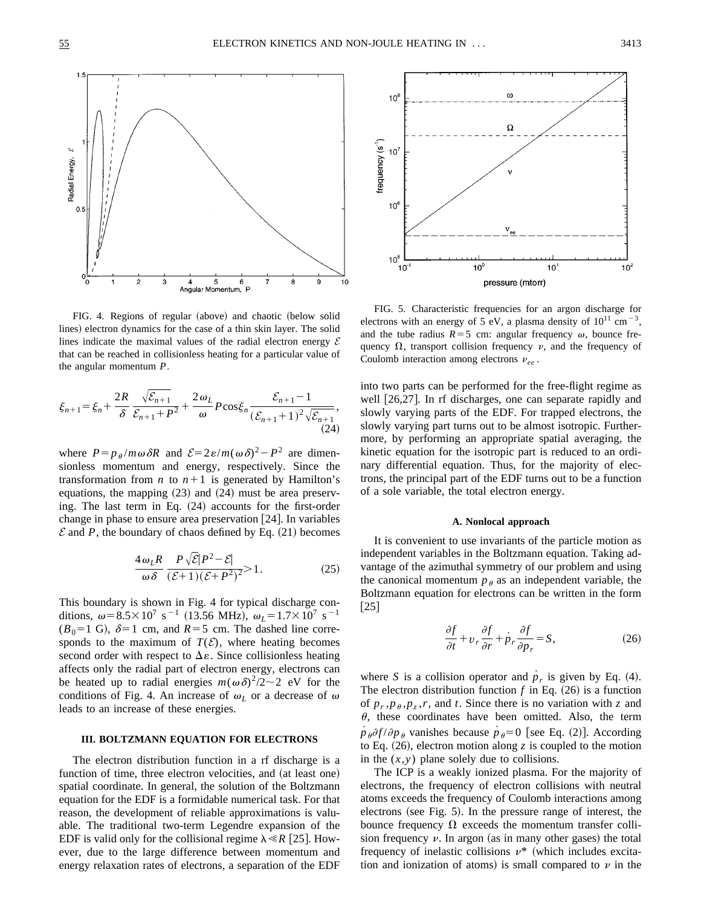

FIG. 4. Regions of regular (above) and chaotic (below solid lines) electron dynamics for the case of a thin skin layer. The solid lines indicate the maximal values of the radial electron energy  $\mathcal E$ that can be reached in collisionless heating for a particular value of the angular momentum *P*.

$$
\xi_{n+1} = \xi_n + \frac{2R}{\delta} \frac{\sqrt{\mathcal{E}_{n+1}}}{\mathcal{E}_{n+1} + P^2} + \frac{2\omega_L}{\omega} P \cos \xi_n \frac{\mathcal{E}_{n+1} - 1}{(\mathcal{E}_{n+1} + 1)^2 \sqrt{\mathcal{E}_{n+1}}},\tag{24}
$$

where  $P = p_{\theta} / m \omega \delta R$  and  $\mathcal{E} = 2\varepsilon / m(\omega \delta)^2 - P^2$  are dimensionless momentum and energy, respectively. Since the transformation from *n* to  $n+1$  is generated by Hamilton's equations, the mapping  $(23)$  and  $(24)$  must be area preserving. The last term in Eq.  $(24)$  accounts for the first-order change in phase to ensure area preservation  $[24]$ . In variables  $\mathcal E$  and  $P$ , the boundary of chaos defined by Eq. (21) becomes

$$
\frac{4\,\omega_L R}{\omega\delta} \frac{P\sqrt{\mathcal{E}}|P^2 - \mathcal{E}|}{(\mathcal{E}+1)(\mathcal{E}+P^2)^2} > 1.
$$
 (25)

This boundary is shown in Fig. 4 for typical discharge conditions,  $\omega = 8.5 \times 10^7 \text{ s}^{-1}$  (13.56 MHz),  $\omega_L = 1.7 \times 10^7 \text{ s}^{-1}$  $(B_0=1 \text{ G})$ ,  $\delta=1 \text{ cm}$ , and  $R=5 \text{ cm}$ . The dashed line corresponds to the maximum of  $T(\mathcal{E})$ , where heating becomes second order with respect to  $\Delta \varepsilon$ . Since collisionless heating affects only the radial part of electron energy, electrons can be heated up to radial energies  $m(\omega\delta)^2/2 \sim 2$  eV for the conditions of Fig. 4. An increase of  $\omega_L$  or a decrease of  $\omega$ leads to an increase of these energies.

### **III. BOLTZMANN EQUATION FOR ELECTRONS**

The electron distribution function in a rf discharge is a function of time, three electron velocities, and (at least one) spatial coordinate. In general, the solution of the Boltzmann equation for the EDF is a formidable numerical task. For that reason, the development of reliable approximations is valuable. The traditional two-term Legendre expansion of the EDF is valid only for the collisional regime  $\lambda \ll R$  [25]. However, due to the large difference between momentum and energy relaxation rates of electrons, a separation of the EDF



FIG. 5. Characteristic frequencies for an argon discharge for electrons with an energy of 5 eV, a plasma density of  $10^{11}$  cm<sup>-3</sup>, and the tube radius  $R=5$  cm: angular frequency  $\omega$ , bounce frequency  $\Omega$ , transport collision frequency  $\nu$ , and the frequency of Coulomb interaction among electrons  $v_{ee}$ .

into two parts can be performed for the free-flight regime as well  $[26,27]$ . In rf discharges, one can separate rapidly and slowly varying parts of the EDF. For trapped electrons, the slowly varying part turns out to be almost isotropic. Furthermore, by performing an appropriate spatial averaging, the kinetic equation for the isotropic part is reduced to an ordinary differential equation. Thus, for the majority of electrons, the principal part of the EDF turns out to be a function of a sole variable, the total electron energy.

#### **A. Nonlocal approach**

It is convenient to use invariants of the particle motion as independent variables in the Boltzmann equation. Taking advantage of the azimuthal symmetry of our problem and using the canonical momentum  $p_{\theta}$  as an independent variable, the Boltzmann equation for electrons can be written in the form  $|25|$ 

$$
\frac{\partial f}{\partial t} + v_r \frac{\partial f}{\partial r} + \dot{p}_r \frac{\partial f}{\partial p_r} = S,\tag{26}
$$

where *S* is a collision operator and  $p<sub>r</sub>$  is given by Eq. (4). The electron distribution function  $f$  in Eq. (26) is a function of  $p_r$ ,  $p_\theta$ ,  $p_z$ ,  $r$ , and  $t$ . Since there is no variation with  $z$  and  $\theta$ , these coordinates have been omitted. Also, the term  $p_{\theta} \partial f / \partial p_{\theta}$  vanishes because  $p_{\theta} = 0$  [see Eq. (2)]. According to Eq.  $(26)$ , electron motion along *z* is coupled to the motion in the (*x*,*y*) plane solely due to collisions.

The ICP is a weakly ionized plasma. For the majority of electrons, the frequency of electron collisions with neutral atoms exceeds the frequency of Coulomb interactions among electrons (see Fig. 5). In the pressure range of interest, the bounce frequency  $\Omega$  exceeds the momentum transfer collision frequency  $\nu$ . In argon (as in many other gases) the total frequency of inelastic collisions  $v^*$  (which includes excitation and ionization of atoms) is small compared to  $\nu$  in the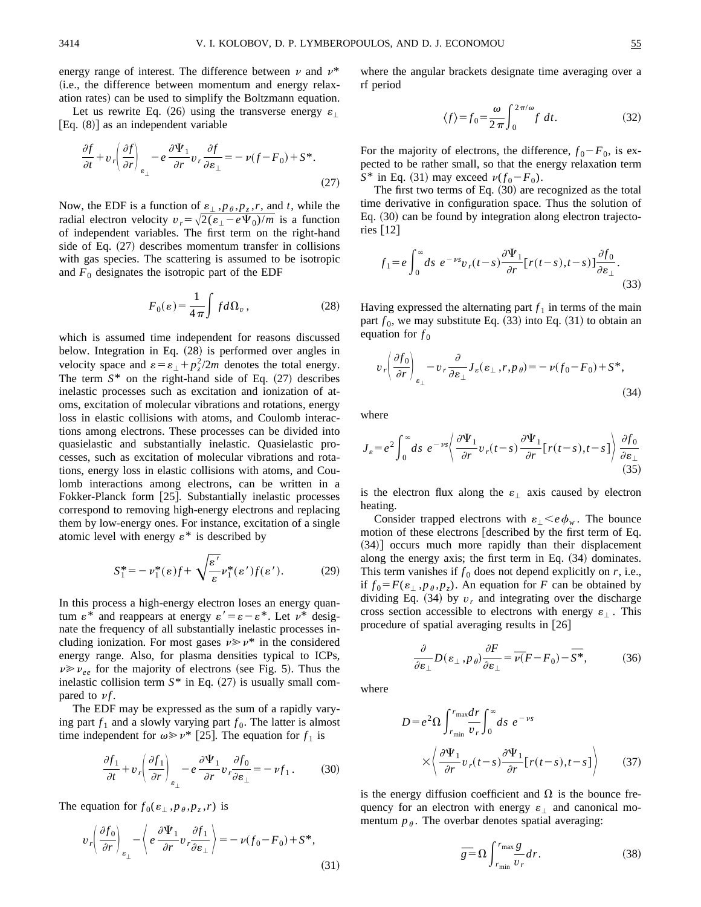energy range of interest. The difference between  $\nu$  and  $\nu^*$ 

(i.e., the difference between momentum and energy relaxation rates) can be used to simplify the Boltzmann equation.

Let us rewrite Eq. (26) using the transverse energy  $\varepsilon_{\perp}$  $[Eq. (8)]$  as an independent variable

$$
\frac{\partial f}{\partial t} + v_r \left( \frac{\partial f}{\partial r} \right)_{\varepsilon_{\perp}} - e \frac{\partial \Psi_1}{\partial r} v_r \frac{\partial f}{\partial \varepsilon_{\perp}} = -\nu (f - F_0) + S^*.
$$
\n(27)

Now, the EDF is a function of  $\varepsilon_{\perp}$ ,  $p_{\theta}$ ,  $p_z$ ,  $r$ , and  $t$ , while the radial electron velocity  $v_r = \sqrt{2(\epsilon_{\perp} - e\Psi_0)/m}$  is a function of independent variables. The first term on the right-hand side of Eq.  $(27)$  describes momentum transfer in collisions with gas species. The scattering is assumed to be isotropic and  $F_0$  designates the isotropic part of the EDF

$$
F_0(\varepsilon) = \frac{1}{4\pi} \int f d\Omega_v, \qquad (28)
$$

which is assumed time independent for reasons discussed below. Integration in Eq. (28) is performed over angles in velocity space and  $\varepsilon = \varepsilon_{\perp} + p_z^2/2m$  denotes the total energy. The term  $S^*$  on the right-hand side of Eq.  $(27)$  describes inelastic processes such as excitation and ionization of atoms, excitation of molecular vibrations and rotations, energy loss in elastic collisions with atoms, and Coulomb interactions among electrons. These processes can be divided into quasielastic and substantially inelastic. Quasielastic processes, such as excitation of molecular vibrations and rotations, energy loss in elastic collisions with atoms, and Coulomb interactions among electrons, can be written in a Fokker-Planck form [25]. Substantially inelastic processes correspond to removing high-energy electrons and replacing them by low-energy ones. For instance, excitation of a single atomic level with energy  $\varepsilon^*$  is described by

$$
S_1^* = -\nu_1^*(\varepsilon)f + \sqrt{\frac{\varepsilon'}{\varepsilon}}\nu_1^*(\varepsilon')f(\varepsilon'). \tag{29}
$$

In this process a high-energy electron loses an energy quantum  $\varepsilon^*$  and reappears at energy  $\varepsilon' = \varepsilon - \varepsilon^*$ . Let  $\nu^*$  designate the frequency of all substantially inelastic processes including ionization. For most gases  $\nu \gg \nu^*$  in the considered energy range. Also, for plasma densities typical to ICPs,  $v \gg v_{ee}$  for the majority of electrons (see Fig. 5). Thus the inelastic collision term  $S^*$  in Eq.  $(27)$  is usually small compared to  $\nu f$ .

The EDF may be expressed as the sum of a rapidly varying part  $f_1$  and a slowly varying part  $f_0$ . The latter is almost time independent for  $\omega \ge v^*$  [25]. The equation for  $f_1$  is

$$
\frac{\partial f_1}{\partial t} + v_r \left( \frac{\partial f_1}{\partial r} \right)_{\varepsilon_{\perp}} - e \frac{\partial \Psi_1}{\partial r} v_r \frac{\partial f_0}{\partial \varepsilon_{\perp}} = -\nu f_1. \tag{30}
$$

The equation for  $f_0(\varepsilon_\perp, p_\theta, p_z, r)$  is

$$
v_r \left( \frac{\partial f_0}{\partial r} \right)_{\varepsilon_{\perp}} - \left\langle e \frac{\partial \Psi_1}{\partial r} v_r \frac{\partial f_1}{\partial \varepsilon_{\perp}} \right\rangle = -\nu(f_0 - F_0) + S^*,\tag{31}
$$

where the angular brackets designate time averaging over a rf period

$$
\langle f \rangle = f_0 = \frac{\omega}{2\pi} \int_0^{2\pi/\omega} f \, dt. \tag{32}
$$

For the majority of electrons, the difference,  $f_0 - F_0$ , is expected to be rather small, so that the energy relaxation term *S*\* in Eq. (31) may exceed  $\nu(f_0 - F_0)$ .

The first two terms of Eq.  $(30)$  are recognized as the total time derivative in configuration space. Thus the solution of Eq. (30) can be found by integration along electron trajectories  $\lceil 12 \rceil$ 

$$
f_1 = e \int_0^\infty ds \ e^{-\nu s} v_r(t-s) \frac{\partial \Psi_1}{\partial r} [r(t-s), t-s] \frac{\partial f_0}{\partial \varepsilon_\perp}.
$$
\n(33)

Having expressed the alternating part  $f_1$  in terms of the main part  $f_0$ , we may substitute Eq.  $(33)$  into Eq.  $(31)$  to obtain an equation for  $f_0$ 

$$
v_r \left(\frac{\partial f_0}{\partial r}\right)_{\varepsilon_{\perp}} - v_r \frac{\partial}{\partial \varepsilon_{\perp}} J_{\varepsilon}(\varepsilon_{\perp}, r, p_{\theta}) = -\nu(f_0 - F_0) + S^*,\tag{34}
$$

where

$$
J_{\varepsilon} = e^2 \int_0^{\infty} ds \ e^{-\nu s} \left( \frac{\partial \Psi_1}{\partial r} v_r(t-s) \frac{\partial \Psi_1}{\partial r} \left[ r(t-s), t-s \right] \right) \frac{\partial f_0}{\partial \varepsilon_{\perp}}
$$
(35)

is the electron flux along the  $\varepsilon_{\perp}$  axis caused by electron heating.

Consider trapped electrons with  $\varepsilon_1 \leq e \phi_w$ . The bounce motion of these electrons [described by the first term of Eq.  $(34)$ ] occurs much more rapidly than their displacement along the energy axis; the first term in Eq.  $(34)$  dominates. This term vanishes if  $f_0$  does not depend explicitly on  $r$ , i.e., if  $f_0 = F(\varepsilon_+, p_\theta, p_z)$ . An equation for *F* can be obtained by dividing Eq.  $(34)$  by  $v_r$  and integrating over the discharge cross section accessible to electrons with energy  $\varepsilon_{\perp}$ . This procedure of spatial averaging results in  $\lceil 26 \rceil$ 

$$
\frac{\partial}{\partial \varepsilon_{\perp}} D(\varepsilon_{\perp}, p_{\theta}) \frac{\partial F}{\partial \varepsilon_{\perp}} = \overline{\nu} (F - F_0) - \overline{S}^*, \tag{36}
$$

where

$$
D = e^{2} \Omega \int_{r_{\min}}^{r_{\max}} \frac{dr}{v_r} \int_{0}^{\infty} ds \ e^{-vs}
$$

$$
\times \left\langle \frac{\partial \Psi_{1}}{\partial r} v_r(t-s) \frac{\partial \Psi_{1}}{\partial r} [r(t-s), t-s] \right\rangle \tag{37}
$$

is the energy diffusion coefficient and  $\Omega$  is the bounce frequency for an electron with energy  $\varepsilon_{\perp}$  and canonical momentum  $p_{\theta}$ . The overbar denotes spatial averaging:

$$
\overline{g} = \Omega \int_{r_{\min}}^{r_{\max}} \frac{g}{v_r} dr.
$$
 (38)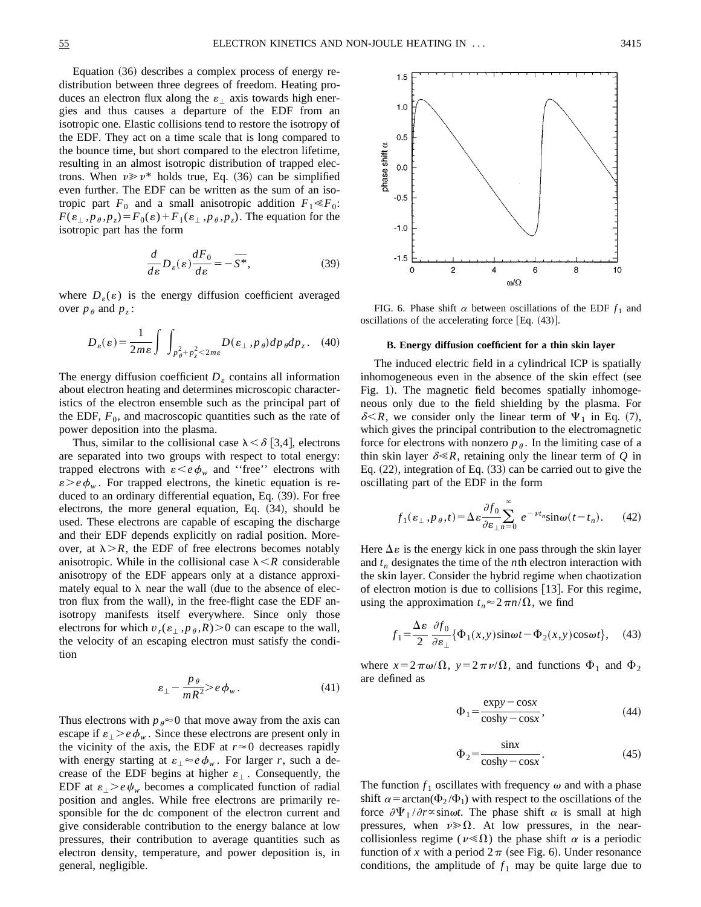Equation  $(36)$  describes a complex process of energy redistribution between three degrees of freedom. Heating produces an electron flux along the  $\varepsilon_{\perp}$  axis towards high energies and thus causes a departure of the EDF from an isotropic one. Elastic collisions tend to restore the isotropy of the EDF. They act on a time scale that is long compared to the bounce time, but short compared to the electron lifetime, resulting in an almost isotropic distribution of trapped electrons. When  $\nu \gg \nu^*$  holds true, Eq. (36) can be simplified even further. The EDF can be written as the sum of an isotropic part  $F_0$  and a small anisotropic addition  $F_1 \ll F_0$ :  $F(\varepsilon_{\perp}, p_{\theta}, p_z) = F_0(\varepsilon) + F_1(\varepsilon_{\perp}, p_{\theta}, p_z)$ . The equation for the isotropic part has the form

$$
\frac{d}{d\varepsilon}D_{\varepsilon}(\varepsilon)\frac{dF_{0}}{d\varepsilon} = -\overline{S}^{*},\qquad(39)
$$

where  $D_{\varepsilon}(\varepsilon)$  is the energy diffusion coefficient averaged over  $p_{\theta}$  and  $p_z$ :

$$
D_{\varepsilon}(\varepsilon) = \frac{1}{2m\varepsilon} \int \int_{p_{\theta}^2 + p_z^2 < 2m\varepsilon} D(\varepsilon_{\perp}, p_{\theta}) dp_{\theta} dp_z.
$$
 (40)

The energy diffusion coefficient  $D_{\varepsilon}$  contains all information about electron heating and determines microscopic characteristics of the electron ensemble such as the principal part of the EDF,  $F_0$ , and macroscopic quantities such as the rate of power deposition into the plasma.

Thus, similar to the collisional case  $\lambda < \delta$  [3,4], electrons are separated into two groups with respect to total energy: trapped electrons with  $\varepsilon \leq e \phi_w$  and "free" electrons with  $\varepsilon > e \phi_w$ . For trapped electrons, the kinetic equation is reduced to an ordinary differential equation, Eq. (39). For free electrons, the more general equation, Eq.  $(34)$ , should be used. These electrons are capable of escaping the discharge and their EDF depends explicitly on radial position. Moreover, at  $\lambda > R$ , the EDF of free electrons becomes notably anisotropic. While in the collisional case  $\lambda \leq R$  considerable anisotropy of the EDF appears only at a distance approximately equal to  $\lambda$  near the wall (due to the absence of electron flux from the wall), in the free-flight case the EDF anisotropy manifests itself everywhere. Since only those electrons for which  $v_r(\varepsilon_\perp, p_\theta, R) > 0$  can escape to the wall, the velocity of an escaping electron must satisfy the condition

$$
\varepsilon_{\perp} - \frac{p_{\theta}}{mR^2} > e \phi_w. \tag{41}
$$

Thus electrons with  $p_{\theta} \approx 0$  that move away from the axis can escape if  $\varepsilon_1 > e \phi_w$ . Since these electrons are present only in the vicinity of the axis, the EDF at  $r \approx 0$  decreases rapidly with energy starting at  $\varepsilon_{\perp} \approx e \phi_w$ . For larger *r*, such a decrease of the EDF begins at higher  $\varepsilon_{\perp}$ . Consequently, the EDF at  $\varepsilon_{\perp} > e \psi_w$  becomes a complicated function of radial position and angles. While free electrons are primarily responsible for the dc component of the electron current and give considerable contribution to the energy balance at low pressures, their contribution to average quantities such as electron density, temperature, and power deposition is, in general, negligible.



FIG. 6. Phase shift  $\alpha$  between oscillations of the EDF  $f_1$  and oscillations of the accelerating force  $[Eq. (43)].$ 

### **B. Energy diffusion coefficient for a thin skin layer**

The induced electric field in a cylindrical ICP is spatially inhomogeneous even in the absence of the skin effect (see Fig. 1). The magnetic field becomes spatially inhomogeneous only due to the field shielding by the plasma. For  $\delta < R$ , we consider only the linear term of  $\Psi_1$  in Eq. (7), which gives the principal contribution to the electromagnetic force for electrons with nonzero  $p_{\theta}$ . In the limiting case of a thin skin layer  $\delta \ll R$ , retaining only the linear term of *Q* in Eq.  $(22)$ , integration of Eq.  $(33)$  can be carried out to give the oscillating part of the EDF in the form

$$
f_1(\varepsilon_\perp, p_\theta, t) = \Delta \varepsilon \frac{\partial f_0}{\partial \varepsilon_\perp} \sum_{n=0}^{\infty} e^{-\nu t_n} \sin \omega (t - t_n). \tag{42}
$$

Here  $\Delta \varepsilon$  is the energy kick in one pass through the skin layer and  $t_n$  designates the time of the *n*th electron interaction with the skin layer. Consider the hybrid regime when chaotization of electron motion is due to collisions  $[13]$ . For this regime, using the approximation  $t_n \approx 2\pi n/\Omega$ , we find

$$
f_1 = \frac{\Delta \varepsilon}{2} \frac{\partial f_0}{\partial \varepsilon_+} \{ \Phi_1(x, y) \sin \omega t - \Phi_2(x, y) \cos \omega t \}, \quad (43)
$$

where  $x=2\pi\omega/\Omega$ ,  $y=2\pi\nu/\Omega$ , and functions  $\Phi_1$  and  $\Phi_2$ are defined as

$$
\Phi_1 = \frac{\exp y - \cos x}{\cosh y - \cos x},\tag{44}
$$

$$
\Phi_2 = \frac{\sin x}{\cosh y - \cos x}.
$$
\n(45)

The function  $f_1$  oscillates with frequency  $\omega$  and with a phase shift  $\alpha = \arctan(\Phi_2 / \Phi_1)$  with respect to the oscillations of the force  $\partial \Psi_1 / \partial r \propto \sin \omega t$ . The phase shift  $\alpha$  is small at high pressures, when  $v \ge \Omega$ . At low pressures, in the nearcollisionless regime ( $\nu \ll \Omega$ ) the phase shift  $\alpha$  is a periodic function of *x* with a period  $2\pi$  (see Fig. 6). Under resonance conditions, the amplitude of  $f_1$  may be quite large due to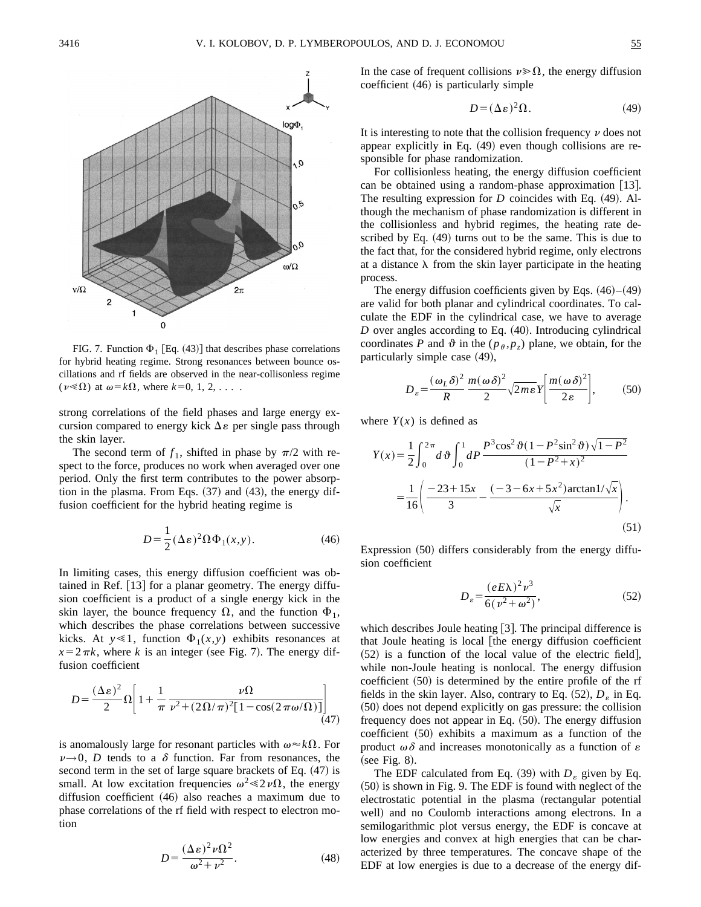

FIG. 7. Function  $\Phi_1$  [Eq. (43)] that describes phase correlations for hybrid heating regime. Strong resonances between bounce oscillations and rf fields are observed in the near-collisonless regime  $(\nu \leq \Omega)$  at  $\omega = k\Omega$ , where  $k=0, 1, 2, \ldots$ .

strong correlations of the field phases and large energy excursion compared to energy kick  $\Delta \varepsilon$  per single pass through the skin layer.

The second term of  $f_1$ , shifted in phase by  $\pi/2$  with respect to the force, produces no work when averaged over one period. Only the first term contributes to the power absorption in the plasma. From Eqs.  $(37)$  and  $(43)$ , the energy diffusion coefficient for the hybrid heating regime is

$$
D = \frac{1}{2} (\Delta \varepsilon)^2 \Omega \Phi_1(x, y). \tag{46}
$$

In limiting cases, this energy diffusion coefficient was obtained in Ref.  $\lceil 13 \rceil$  for a planar geometry. The energy diffusion coefficient is a product of a single energy kick in the skin layer, the bounce frequency  $\Omega$ , and the function  $\Phi_1$ , which describes the phase correlations between successive kicks. At  $y \le 1$ , function  $\Phi_1(x, y)$  exhibits resonances at  $x=2\pi k$ , where *k* is an integer (see Fig. 7). The energy diffusion coefficient

$$
D = \frac{(\Delta \varepsilon)^2}{2} \Omega \left[ 1 + \frac{1}{\pi} \frac{\nu \Omega}{\nu^2 + (2\Omega/\pi)^2 [1 - \cos(2\pi \omega/\Omega)]} \right]
$$
(47)

is anomalously large for resonant particles with  $\omega \approx k\Omega$ . For  $\nu \rightarrow 0$ , *D* tends to a  $\delta$  function. Far from resonances, the second term in the set of large square brackets of Eq.  $(47)$  is small. At low excitation frequencies  $\omega^2 \ll 2 \nu \Omega$ , the energy diffusion coefficient  $(46)$  also reaches a maximum due to phase correlations of the rf field with respect to electron motion

$$
D = \frac{(\Delta \varepsilon)^2 \nu \Omega^2}{\omega^2 + \nu^2}.
$$
 (48)

In the case of frequent collisions  $v \ge 0$ , the energy diffusion coefficient  $(46)$  is particularly simple

$$
D = (\Delta \varepsilon)^2 \Omega. \tag{49}
$$

It is interesting to note that the collision frequency  $\nu$  does not appear explicitly in Eq.  $(49)$  even though collisions are responsible for phase randomization.

For collisionless heating, the energy diffusion coefficient can be obtained using a random-phase approximation  $[13]$ . The resulting expression for  $D$  coincides with Eq.  $(49)$ . Although the mechanism of phase randomization is different in the collisionless and hybrid regimes, the heating rate described by Eq.  $(49)$  turns out to be the same. This is due to the fact that, for the considered hybrid regime, only electrons at a distance  $\lambda$  from the skin layer participate in the heating process.

The energy diffusion coefficients given by Eqs.  $(46)$ – $(49)$ are valid for both planar and cylindrical coordinates. To calculate the EDF in the cylindrical case, we have to average *D* over angles according to Eq. (40). Introducing cylindrical coordinates *P* and  $\vartheta$  in the ( $p_{\theta}, p_z$ ) plane, we obtain, for the particularly simple case  $(49)$ ,

$$
D_{\varepsilon} = \frac{(\omega_L \delta)^2}{R} \frac{m(\omega \delta)^2}{2} \sqrt{2m\varepsilon} Y \left[ \frac{m(\omega \delta)^2}{2\varepsilon} \right],\tag{50}
$$

where  $Y(x)$  is defined as

$$
Y(x) = \frac{1}{2} \int_0^{2\pi} d\vartheta \int_0^1 dP \frac{P^3 \cos^2 \vartheta (1 - P^2 \sin^2 \vartheta) \sqrt{1 - P^2}}{(1 - P^2 + x)^2}
$$
  
=  $\frac{1}{16} \left( \frac{-23 + 15x}{3} - \frac{(-3 - 6x + 5x^2) \arctan 1/\sqrt{x}}{\sqrt{x}} \right).$  (51)

Expression  $(50)$  differs considerably from the energy diffusion coefficient

$$
D_{\varepsilon} = \frac{(eE\lambda)^2 \nu^3}{6(\nu^2 + \omega^2)},\tag{52}
$$

which describes Joule heating  $\lceil 3 \rceil$ . The principal difference is that Joule heating is local [the energy diffusion coefficient  $(52)$  is a function of the local value of the electric field], while non-Joule heating is nonlocal. The energy diffusion coefficient  $(50)$  is determined by the entire profile of the rf fields in the skin layer. Also, contrary to Eq.  $(52)$ ,  $D<sub>s</sub>$  in Eq.  $(50)$  does not depend explicitly on gas pressure: the collision frequency does not appear in Eq.  $(50)$ . The energy diffusion coefficient  $(50)$  exhibits a maximum as a function of the product  $\omega\delta$  and increases monotonically as a function of  $\varepsilon$  $(see Fig. 8).$ 

The EDF calculated from Eq.  $(39)$  with  $D_{\varepsilon}$  given by Eq.  $(50)$  is shown in Fig. 9. The EDF is found with neglect of the electrostatic potential in the plasma (rectangular potential well) and no Coulomb interactions among electrons. In a semilogarithmic plot versus energy, the EDF is concave at low energies and convex at high energies that can be characterized by three temperatures. The concave shape of the EDF at low energies is due to a decrease of the energy dif-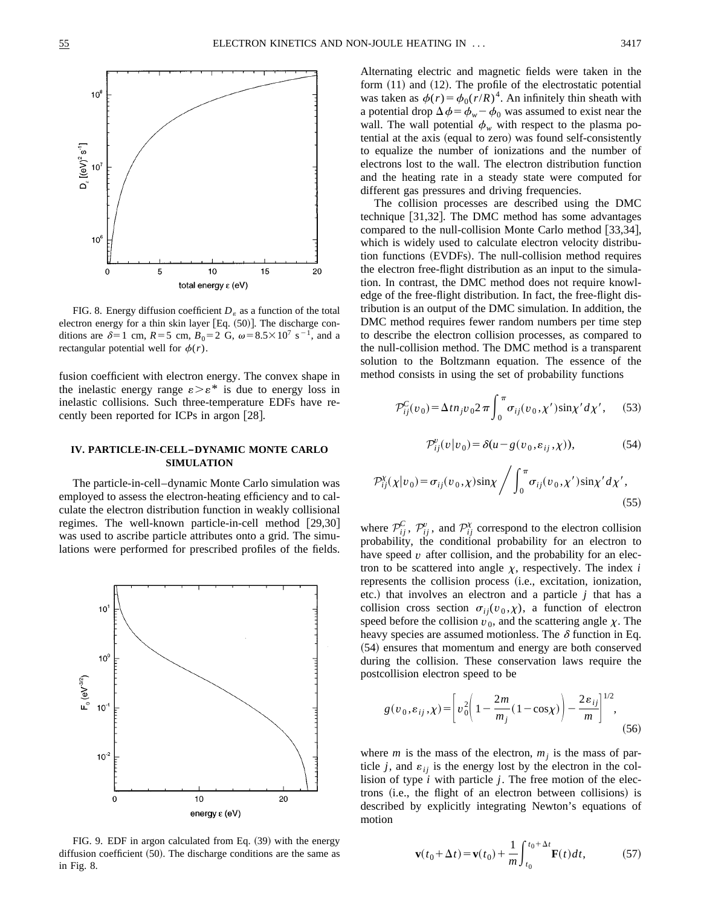

FIG. 8. Energy diffusion coefficient  $D<sub>s</sub>$  as a function of the total electron energy for a thin skin layer  $[Eq. (50)].$  The discharge conditions are  $\delta=1$  cm,  $R=5$  cm,  $B_0=2$  G,  $\omega=8.5\times10^7$  s<sup>-1</sup>, and a rectangular potential well for  $\phi(r)$ .

fusion coefficient with electron energy. The convex shape in the inelastic energy range  $\varepsilon > \varepsilon^*$  is due to energy loss in inelastic collisions. Such three-temperature EDFs have recently been reported for ICPs in argon [28].

## **IV. PARTICLE-IN-CELL–DYNAMIC MONTE CARLO SIMULATION**

The particle-in-cell–dynamic Monte Carlo simulation was employed to assess the electron-heating efficiency and to calculate the electron distribution function in weakly collisional regimes. The well-known particle-in-cell method  $[29,30]$ was used to ascribe particle attributes onto a grid. The simulations were performed for prescribed profiles of the fields.



FIG. 9. EDF in argon calculated from Eq.  $(39)$  with the energy diffusion coefficient  $(50)$ . The discharge conditions are the same as in Fig. 8.

Alternating electric and magnetic fields were taken in the form  $(11)$  and  $(12)$ . The profile of the electrostatic potential was taken as  $\phi(r) = \phi_0(r/R)^4$ . An infinitely thin sheath with a potential drop  $\Delta \phi = \phi_w - \phi_0$  was assumed to exist near the wall. The wall potential  $\phi_w$  with respect to the plasma potential at the axis (equal to zero) was found self-consistently to equalize the number of ionizations and the number of electrons lost to the wall. The electron distribution function and the heating rate in a steady state were computed for different gas pressures and driving frequencies.

The collision processes are described using the DMC technique  $|31,32|$ . The DMC method has some advantages compared to the null-collision Monte Carlo method  $[33,34]$ , which is widely used to calculate electron velocity distribution functions (EVDFs). The null-collision method requires the electron free-flight distribution as an input to the simulation. In contrast, the DMC method does not require knowledge of the free-flight distribution. In fact, the free-flight distribution is an output of the DMC simulation. In addition, the DMC method requires fewer random numbers per time step to describe the electron collision processes, as compared to the null-collision method. The DMC method is a transparent solution to the Boltzmann equation. The essence of the method consists in using the set of probability functions

$$
\mathcal{P}_{ij}^C(v_0) = \Delta t n_j v_0 2 \pi \int_0^{\pi} \sigma_{ij}(v_0, \chi') \sin \chi' d\chi', \quad (53)
$$

$$
\mathcal{P}_{ij}^v(v|v_0) = \delta(u - g(v_0, \varepsilon_{ij}, \chi)),\tag{54}
$$

$$
\mathcal{P}_{ij}^{\chi}(\chi|v_0) = \sigma_{ij}(v_0, \chi) \sin \chi \left/ \int_0^{\pi} \sigma_{ij}(v_0, \chi') \sin \chi' d\chi' \right., \tag{55}
$$

where  $\mathcal{P}_{ij}^C$ ,  $\mathcal{P}_{ij}^v$ , and  $\mathcal{P}_{ij}^{\chi}$  correspond to the electron collision probability, the conditional probability for an electron to have speed *v* after collision, and the probability for an electron to be scattered into angle  $\chi$ , respectively. The index *i* represents the collision process (i.e., excitation, ionization, etc.) that involves an electron and a particle  $j$  that has a collision cross section  $\sigma_{ii}(v_0, \chi)$ , a function of electron speed before the collision  $v_0$ , and the scattering angle  $\chi$ . The heavy species are assumed motionless. The  $\delta$  function in Eq. (54) ensures that momentum and energy are both conserved during the collision. These conservation laws require the postcollision electron speed to be

$$
g(v_0, \varepsilon_{ij}, \chi) = \left[ v_0^2 \left( 1 - \frac{2m}{m_j} (1 - \cos \chi) \right) - \frac{2\varepsilon_{ij}}{m} \right]^{1/2},
$$
\n(56)

where *m* is the mass of the electron,  $m_j$  is the mass of particle *j*, and  $\varepsilon_{ij}$  is the energy lost by the electron in the collision of type *i* with particle *j*. The free motion of the electrons (i.e., the flight of an electron between collisions) is described by explicitly integrating Newton's equations of motion

$$
\mathbf{v}(t_0 + \Delta t) = \mathbf{v}(t_0) + \frac{1}{m} \int_{t_0}^{t_0 + \Delta t} \mathbf{F}(t) dt,
$$
 (57)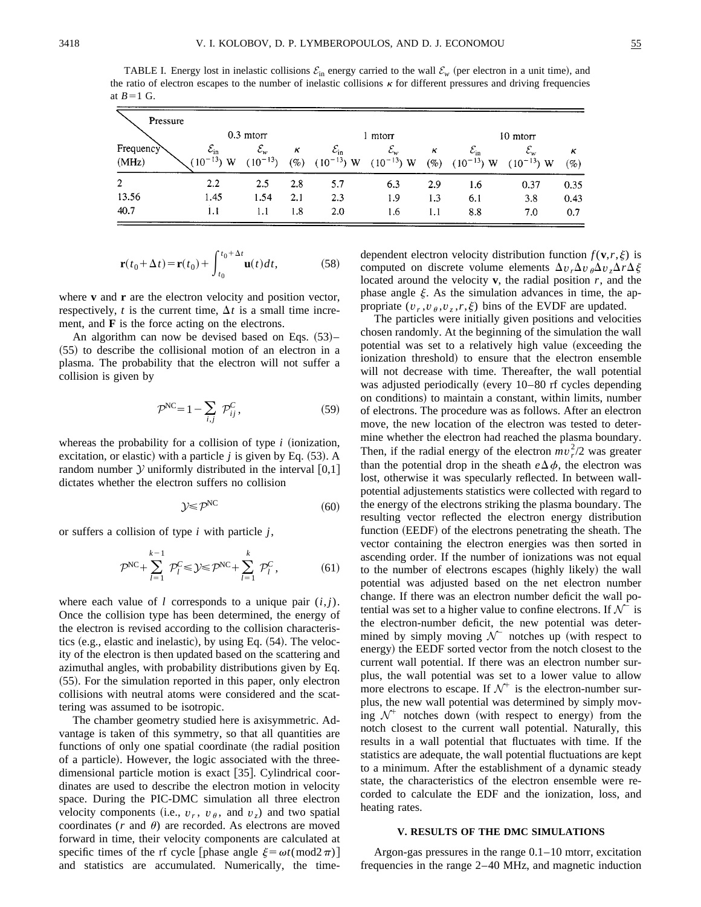TABLE I. Energy lost in inelastic collisions  $\mathcal{E}_{in}$  energy carried to the wall  $\mathcal{E}_{w}$  (per electron in a unit time), and the ratio of electron escapes to the number of inelastic collisions  $\kappa$  for different pressures and driving frequencies at  $B=1$  G.

| Pressure  |                         |                   |        |                             |                   |        |                         |                   |        |
|-----------|-------------------------|-------------------|--------|-----------------------------|-------------------|--------|-------------------------|-------------------|--------|
|           | $0.3$ mtorr             |                   |        | 1 mtorr                     |                   |        | 10 mtorr                |                   |        |
| Frequency | $\mathcal{E}_\text{in}$ | $\mathcal{E}_{w}$ | к      | $\mathcal{E}_{\mathsf{in}}$ | $\mathcal{E}_{w}$ | К      | $\mathcal{E}_\text{in}$ | $\mathcal{E}_{w}$ | к      |
| (MHz)     | $(10^{-13})$<br>W       | $(10^{-13})$      | $(\%)$ | $(10^{-13}) W$              | $(10^{-13}) W$    | $(\%)$ | $(10^{-13}) W$          | $(10^{-13}) W$    | $(\%)$ |
| 2         | 2.2                     | 2.5               | 2.8    | 5.7                         | 6.3               | 2.9    | 1.6                     | 0.37              | 0.35   |
| 13.56     | 1.45                    | 1.54              | 2.1    | 2.3                         | 1.9               | 1.3    | 6.1                     | 3.8               | 0.43   |
| 40.7      | 1.1                     | 1.1               | 1.8    | 2.0                         | 1.6               | 1.1    | 8.8                     | 7.0               | 0.7    |

$$
\mathbf{r}(t_0 + \Delta t) = \mathbf{r}(t_0) + \int_{t_0}^{t_0 + \Delta t} \mathbf{u}(t) dt,
$$
 (58)

where **v** and **r** are the electron velocity and position vector, respectively, *t* is the current time,  $\Delta t$  is a small time increment, and **F** is the force acting on the electrons.

An algorithm can now be devised based on Eqs.  $(53)$ –  $(55)$  to describe the collisional motion of an electron in a plasma. The probability that the electron will not suffer a collision is given by

$$
\mathcal{P}^{\text{NC}} = 1 - \sum_{i,j} \mathcal{P}^C_{ij},\tag{59}
$$

whereas the probability for a collision of type  $i$  (ionization, excitation, or elastic) with a particle  $j$  is given by Eq.  $(53)$ . A random number  $Y$  uniformly distributed in the interval  $[0,1]$ dictates whether the electron suffers no collision

$$
y \leqslant \mathcal{P}^{\rm NC} \tag{60}
$$

or suffers a collision of type *i* with particle *j*,

$$
\mathcal{P}^{\text{NC}} + \sum_{l=1}^{k-1} \mathcal{P}_l^{\text{C}} \leq \mathcal{Y} \leq \mathcal{P}^{\text{NC}} + \sum_{l=1}^{k} \mathcal{P}_l^{\text{C}},\tag{61}
$$

where each value of *l* corresponds to a unique pair  $(i, j)$ . Once the collision type has been determined, the energy of the electron is revised according to the collision characteristics  $(e.g.,$  elastic and inelastic), by using Eq.  $(54)$ . The velocity of the electron is then updated based on the scattering and azimuthal angles, with probability distributions given by Eq. (55). For the simulation reported in this paper, only electron collisions with neutral atoms were considered and the scattering was assumed to be isotropic.

The chamber geometry studied here is axisymmetric. Advantage is taken of this symmetry, so that all quantities are functions of only one spatial coordinate (the radial position of a particle). However, the logic associated with the threedimensional particle motion is exact  $[35]$ . Cylindrical coordinates are used to describe the electron motion in velocity space. During the PIC-DMC simulation all three electron velocity components (i.e.,  $v_r$ ,  $v_\theta$ , and  $v_z$ ) and two spatial coordinates ( $r$  and  $\theta$ ) are recorded. As electrons are moved forward in time, their velocity components are calculated at specific times of the rf cycle [phase angle  $\xi = \omega t \pmod{2\pi}$ ] and statistics are accumulated. Numerically, the timedependent electron velocity distribution function  $f(\mathbf{v},r,\xi)$  is computed on discrete volume elements  $\Delta v_r \Delta v_\theta \Delta v_z \Delta r \Delta \xi$ located around the velocity **v**, the radial position *r*, and the phase angle  $\xi$ . As the simulation advances in time, the appropriate  $(v_r, v_\theta, v_z, r, \xi)$  bins of the EVDF are updated.

The particles were initially given positions and velocities chosen randomly. At the beginning of the simulation the wall potential was set to a relatively high value (exceeding the ionization threshold) to ensure that the electron ensemble will not decrease with time. Thereafter, the wall potential was adjusted periodically (every  $10-80$  rf cycles depending on conditions) to maintain a constant, within limits, number of electrons. The procedure was as follows. After an electron move, the new location of the electron was tested to determine whether the electron had reached the plasma boundary. Then, if the radial energy of the electron  $mv_r^2/2$  was greater than the potential drop in the sheath  $e\Delta\phi$ , the electron was lost, otherwise it was specularly reflected. In between wallpotential adjustements statistics were collected with regard to the energy of the electrons striking the plasma boundary. The resulting vector reflected the electron energy distribution function (EEDF) of the electrons penetrating the sheath. The vector containing the electron energies was then sorted in ascending order. If the number of ionizations was not equal to the number of electrons escapes (highly likely) the wall potential was adjusted based on the net electron number change. If there was an electron number deficit the wall potential was set to a higher value to confine electrons. If  $\mathcal{N}^-$  is the electron-number deficit, the new potential was determined by simply moving  $\mathcal{N}^-$  notches up (with respect to energy) the EEDF sorted vector from the notch closest to the current wall potential. If there was an electron number surplus, the wall potential was set to a lower value to allow more electrons to escape. If  $\mathcal{N}^+$  is the electron-number surplus, the new wall potential was determined by simply moving  $\mathcal{N}^+$  notches down (with respect to energy) from the notch closest to the current wall potential. Naturally, this results in a wall potential that fluctuates with time. If the statistics are adequate, the wall potential fluctuations are kept to a minimum. After the establishment of a dynamic steady state, the characteristics of the electron ensemble were recorded to calculate the EDF and the ionization, loss, and heating rates.

## **V. RESULTS OF THE DMC SIMULATIONS**

Argon-gas pressures in the range 0.1–10 mtorr, excitation frequencies in the range 2–40 MHz, and magnetic induction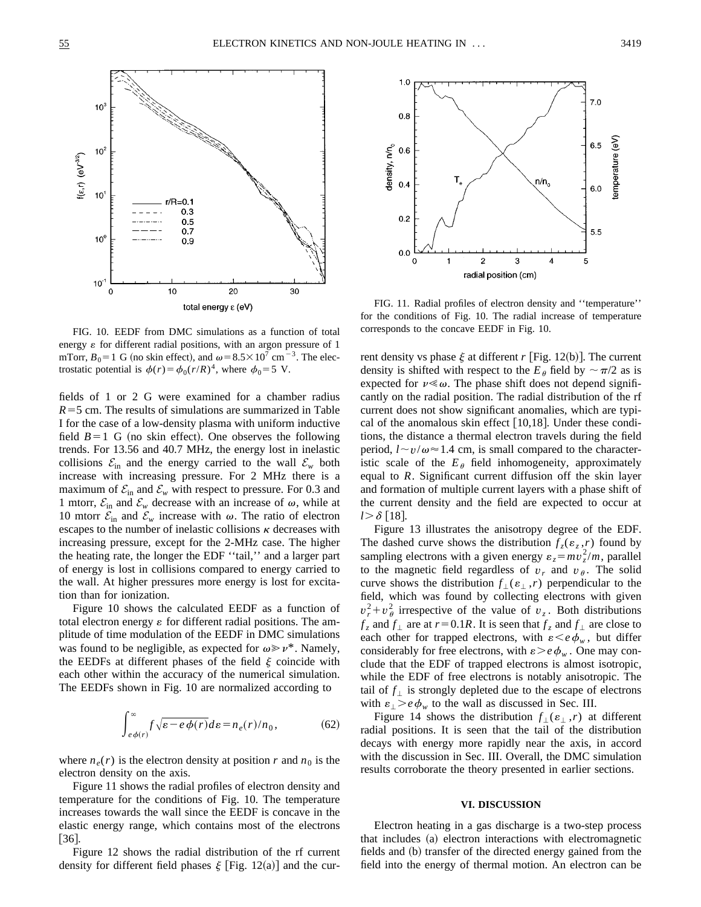

FIG. 10. EEDF from DMC simulations as a function of total energy  $\varepsilon$  for different radial positions, with an argon pressure of 1 mTorr,  $B_0 = 1$  G (no skin effect), and  $\omega = 8.5 \times 10^7$  cm<sup>-3</sup>. The electrostatic potential is  $\phi(r) = \phi_0(r/R)^4$ , where  $\phi_0 = 5$  V.

fields of 1 or 2 G were examined for a chamber radius  $R=5$  cm. The results of simulations are summarized in Table I for the case of a low-density plasma with uniform inductive field  $B=1$  G (no skin effect). One observes the following trends. For 13.56 and 40.7 MHz, the energy lost in inelastic collisions  $\mathcal{E}_{in}$  and the energy carried to the wall  $\mathcal{E}_{w}$  both increase with increasing pressure. For 2 MHz there is a maximum of  $\mathcal{E}_{in}$  and  $\mathcal{E}_{w}$  with respect to pressure. For 0.3 and 1 mtorr,  $\mathcal{E}_{in}$  and  $\mathcal{E}_{w}$  decrease with an increase of  $\omega$ , while at 10 mtorr  $\mathcal{E}_{in}$  and  $\mathcal{E}_{w}$  increase with  $\omega$ . The ratio of electron escapes to the number of inelastic collisions  $\kappa$  decreases with increasing pressure, except for the 2-MHz case. The higher the heating rate, the longer the EDF ''tail,'' and a larger part of energy is lost in collisions compared to energy carried to the wall. At higher pressures more energy is lost for excitation than for ionization.

Figure 10 shows the calculated EEDF as a function of total electron energy  $\varepsilon$  for different radial positions. The amplitude of time modulation of the EEDF in DMC simulations was found to be negligible, as expected for  $\omega \geq v^*$ . Namely, the EEDFs at different phases of the field  $\xi$  coincide with each other within the accuracy of the numerical simulation. The EEDFs shown in Fig. 10 are normalized according to

$$
\int_{e\phi(r)}^{\infty} f\sqrt{\varepsilon - e\phi(r)}d\varepsilon = n_e(r)/n_0, \tag{62}
$$

where  $n_e(r)$  is the electron density at position *r* and  $n_0$  is the electron density on the axis.

Figure 11 shows the radial profiles of electron density and temperature for the conditions of Fig. 10. The temperature increases towards the wall since the EEDF is concave in the elastic energy range, which contains most of the electrons  $|36|$ .

Figure 12 shows the radial distribution of the rf current density for different field phases  $\xi$  [Fig. 12(a)] and the cur-



FIG. 11. Radial profiles of electron density and ''temperature'' for the conditions of Fig. 10. The radial increase of temperature corresponds to the concave EEDF in Fig. 10.

rent density vs phase  $\xi$  at different *r* [Fig. 12(b)]. The current density is shifted with respect to the  $E_{\theta}$  field by  $\sim \pi/2$  as is expected for  $\nu \ll \omega$ . The phase shift does not depend significantly on the radial position. The radial distribution of the rf current does not show significant anomalies, which are typical of the anomalous skin effect  $[10,18]$ . Under these conditions, the distance a thermal electron travels during the field period,  $l \sim v/\omega \approx 1.4$  cm, is small compared to the characteristic scale of the  $E_{\theta}$  field inhomogeneity, approximately equal to *R*. Significant current diffusion off the skin layer and formation of multiple current layers with a phase shift of the current density and the field are expected to occur at  $l > \delta$  [18].

Figure 13 illustrates the anisotropy degree of the EDF. The dashed curve shows the distribution  $f_z(\varepsilon, r)$  found by sampling electrons with a given energy  $\varepsilon_z = mv_z^2/m$ , parallel to the magnetic field regardless of  $v_r$  and  $v_\theta$ . The solid curve shows the distribution  $f_+(\varepsilon, r)$  perpendicular to the field, which was found by collecting electrons with given  $v_r^2 + v_\theta^2$  irrespective of the value of  $v_z$ . Both distributions  $f_z$  and  $f_{\perp}$  are at  $r=0.1R$ . It is seen that  $f_z$  and  $f_{\perp}$  are close to each other for trapped electrons, with  $\varepsilon \leq e\phi_w$ , but differ considerably for free electrons, with  $\varepsilon > e \phi_w$ . One may conclude that the EDF of trapped electrons is almost isotropic, while the EDF of free electrons is notably anisotropic. The tail of  $f_{\perp}$  is strongly depleted due to the escape of electrons with  $\varepsilon_{\perp}$  >  $e \phi_w$  to the wall as discussed in Sec. III.

Figure 14 shows the distribution  $f_{\perp}(\varepsilon_{\perp},r)$  at different radial positions. It is seen that the tail of the distribution decays with energy more rapidly near the axis, in accord with the discussion in Sec. III. Overall, the DMC simulation results corroborate the theory presented in earlier sections.

### **VI. DISCUSSION**

Electron heating in a gas discharge is a two-step process that includes (a) electron interactions with electromagnetic fields and (b) transfer of the directed energy gained from the field into the energy of thermal motion. An electron can be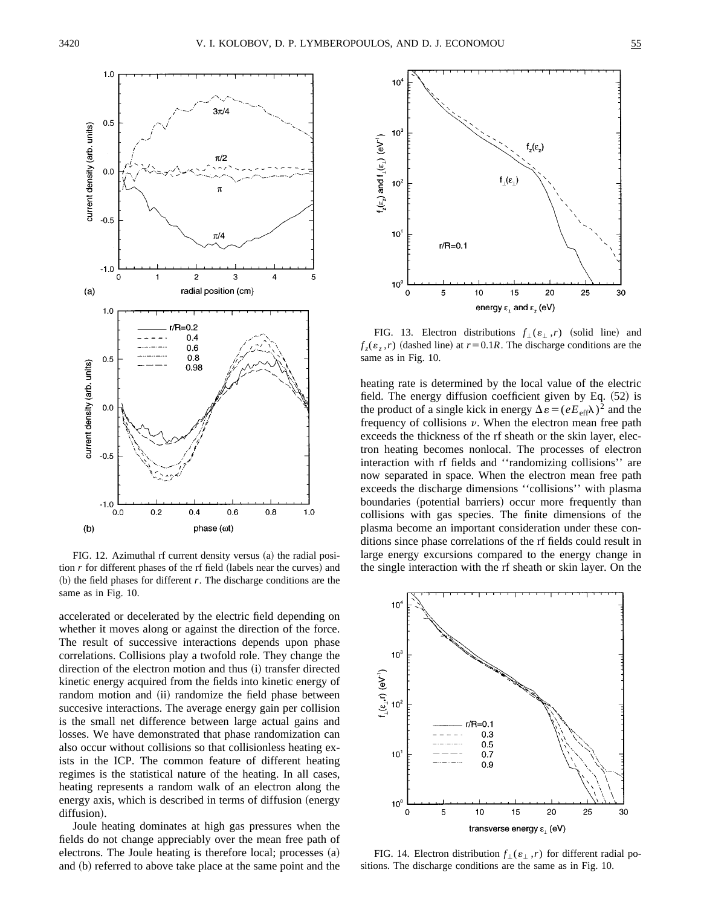

FIG. 12. Azimuthal rf current density versus (a) the radial position  $r$  for different phases of the rf field (labels near the curves) and  $(b)$  the field phases for different  $r$ . The discharge conditions are the same as in Fig. 10.

accelerated or decelerated by the electric field depending on whether it moves along or against the direction of the force. The result of successive interactions depends upon phase correlations. Collisions play a twofold role. They change the direction of the electron motion and thus (i) transfer directed kinetic energy acquired from the fields into kinetic energy of random motion and (ii) randomize the field phase between succesive interactions. The average energy gain per collision is the small net difference between large actual gains and losses. We have demonstrated that phase randomization can also occur without collisions so that collisionless heating exists in the ICP. The common feature of different heating regimes is the statistical nature of the heating. In all cases, heating represents a random walk of an electron along the energy axis, which is described in terms of diffusion (energy diffusion).

Joule heating dominates at high gas pressures when the fields do not change appreciably over the mean free path of electrons. The Joule heating is therefore local; processes  $(a)$ and (b) referred to above take place at the same point and the



FIG. 13. Electron distributions  $f_{\perp}(\varepsilon_{\perp},r)$  (solid line) and  $f_z(\varepsilon_z, r)$  (dashed line) at  $r=0.1R$ . The discharge conditions are the same as in Fig. 10.

heating rate is determined by the local value of the electric field. The energy diffusion coefficient given by Eq.  $(52)$  is the product of a single kick in energy  $\Delta \varepsilon = (eE_{\text{eff}}\lambda)^2$  and the frequency of collisions  $\nu$ . When the electron mean free path exceeds the thickness of the rf sheath or the skin layer, electron heating becomes nonlocal. The processes of electron interaction with rf fields and ''randomizing collisions'' are now separated in space. When the electron mean free path exceeds the discharge dimensions ''collisions'' with plasma boundaries (potential barriers) occur more frequently than collisions with gas species. The finite dimensions of the plasma become an important consideration under these conditions since phase correlations of the rf fields could result in large energy excursions compared to the energy change in the single interaction with the rf sheath or skin layer. On the



FIG. 14. Electron distribution  $f_{\perp}(\varepsilon_{\perp},r)$  for different radial positions. The discharge conditions are the same as in Fig. 10.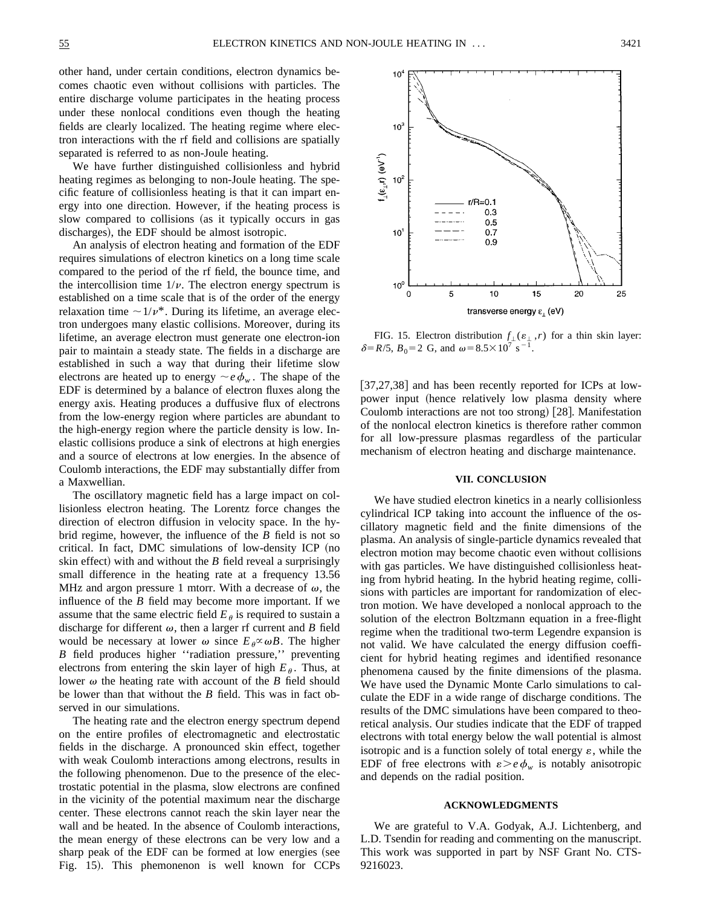other hand, under certain conditions, electron dynamics becomes chaotic even without collisions with particles. The entire discharge volume participates in the heating process under these nonlocal conditions even though the heating fields are clearly localized. The heating regime where electron interactions with the rf field and collisions are spatially separated is referred to as non-Joule heating.

We have further distinguished collisionless and hybrid heating regimes as belonging to non-Joule heating. The specific feature of collisionless heating is that it can impart energy into one direction. However, if the heating process is slow compared to collisions (as it typically occurs in gas discharges), the EDF should be almost isotropic.

An analysis of electron heating and formation of the EDF requires simulations of electron kinetics on a long time scale compared to the period of the rf field, the bounce time, and the intercollision time  $1/\nu$ . The electron energy spectrum is established on a time scale that is of the order of the energy relaxation time  $\sim 1/\nu^*$ . During its lifetime, an average electron undergoes many elastic collisions. Moreover, during its lifetime, an average electron must generate one electron-ion pair to maintain a steady state. The fields in a discharge are established in such a way that during their lifetime slow electrons are heated up to energy  $\sim e\phi_w$ . The shape of the EDF is determined by a balance of electron fluxes along the energy axis. Heating produces a duffusive flux of electrons from the low-energy region where particles are abundant to the high-energy region where the particle density is low. Inelastic collisions produce a sink of electrons at high energies and a source of electrons at low energies. In the absence of Coulomb interactions, the EDF may substantially differ from a Maxwellian.

The oscillatory magnetic field has a large impact on collisionless electron heating. The Lorentz force changes the direction of electron diffusion in velocity space. In the hybrid regime, however, the influence of the *B* field is not so critical. In fact, DMC simulations of low-density ICP (no skin effect) with and without the  $B$  field reveal a surprisingly small difference in the heating rate at a frequency 13.56 MHz and argon pressure 1 mtorr. With a decrease of  $\omega$ , the influence of the *B* field may become more important. If we assume that the same electric field  $E_{\theta}$  is required to sustain a discharge for different  $\omega$ , then a larger rf current and *B* field would be necessary at lower  $\omega$  since  $E_{\theta} \propto \omega B$ . The higher *B* field produces higher ''radiation pressure,'' preventing electrons from entering the skin layer of high  $E_{\theta}$ . Thus, at lower  $\omega$  the heating rate with account of the *B* field should be lower than that without the *B* field. This was in fact observed in our simulations.

The heating rate and the electron energy spectrum depend on the entire profiles of electromagnetic and electrostatic fields in the discharge. A pronounced skin effect, together with weak Coulomb interactions among electrons, results in the following phenomenon. Due to the presence of the electrostatic potential in the plasma, slow electrons are confined in the vicinity of the potential maximum near the discharge center. These electrons cannot reach the skin layer near the wall and be heated. In the absence of Coulomb interactions, the mean energy of these electrons can be very low and a sharp peak of the EDF can be formed at low energies (see Fig. 15). This phemonenon is well known for CCPs



FIG. 15. Electron distribution  $f_{\perp}(\varepsilon_{\perp}, r)$  for a thin skin layer:  $\delta$ =R/5,  $B_0$ =2 G, and  $\omega$ =8.5×10<sup>7</sup> s<sup>-1</sup>.

 $[37,27,38]$  and has been recently reported for ICPs at lowpower input (hence relatively low plasma density where Coulomb interactions are not too strong)  $[28]$ . Manifestation of the nonlocal electron kinetics is therefore rather common for all low-pressure plasmas regardless of the particular mechanism of electron heating and discharge maintenance.

## **VII. CONCLUSION**

We have studied electron kinetics in a nearly collisionless cylindrical ICP taking into account the influence of the oscillatory magnetic field and the finite dimensions of the plasma. An analysis of single-particle dynamics revealed that electron motion may become chaotic even without collisions with gas particles. We have distinguished collisionless heating from hybrid heating. In the hybrid heating regime, collisions with particles are important for randomization of electron motion. We have developed a nonlocal approach to the solution of the electron Boltzmann equation in a free-flight regime when the traditional two-term Legendre expansion is not valid. We have calculated the energy diffusion coefficient for hybrid heating regimes and identified resonance phenomena caused by the finite dimensions of the plasma. We have used the Dynamic Monte Carlo simulations to calculate the EDF in a wide range of discharge conditions. The results of the DMC simulations have been compared to theoretical analysis. Our studies indicate that the EDF of trapped electrons with total energy below the wall potential is almost isotropic and is a function solely of total energy  $\varepsilon$ , while the EDF of free electrons with  $\varepsilon > e\phi_w$  is notably anisotropic and depends on the radial position.

## **ACKNOWLEDGMENTS**

We are grateful to V.A. Godyak, A.J. Lichtenberg, and L.D. Tsendin for reading and commenting on the manuscript. This work was supported in part by NSF Grant No. CTS-9216023.